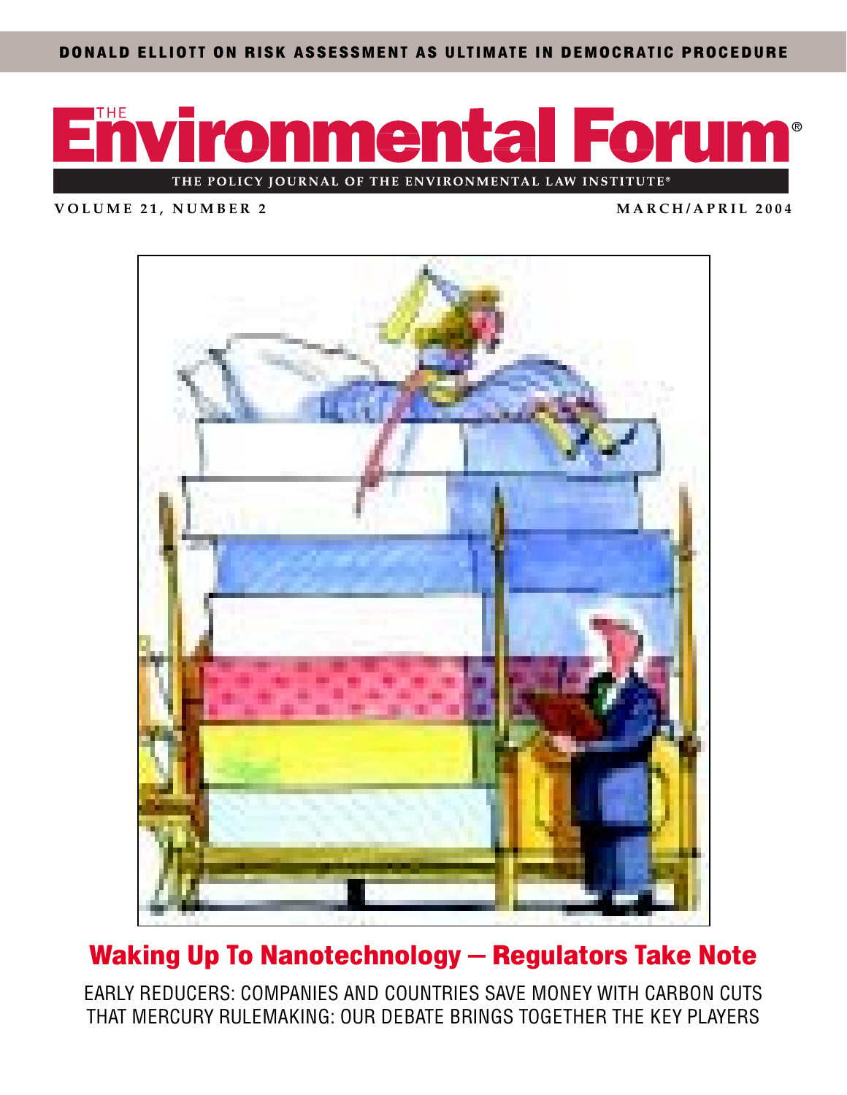DONALD ELLIOTT ON RISK ASSESSMENT AS ULTIMATE IN DEMOCRATIC PROCEDURE



**VOLUME 21, NUMBER 2 MARCH/APRIL 2004**



## Waking Up To Nanotechnology — Regulators Take Note

EARLY REDUCERS: COMPANIES AND COUNTRIES SAVE MONEY WITH CARBON CUTS THAT MERCURY RULEMAKING: OUR DEBATE BRINGS TOGETHER THE KEY PLAYERS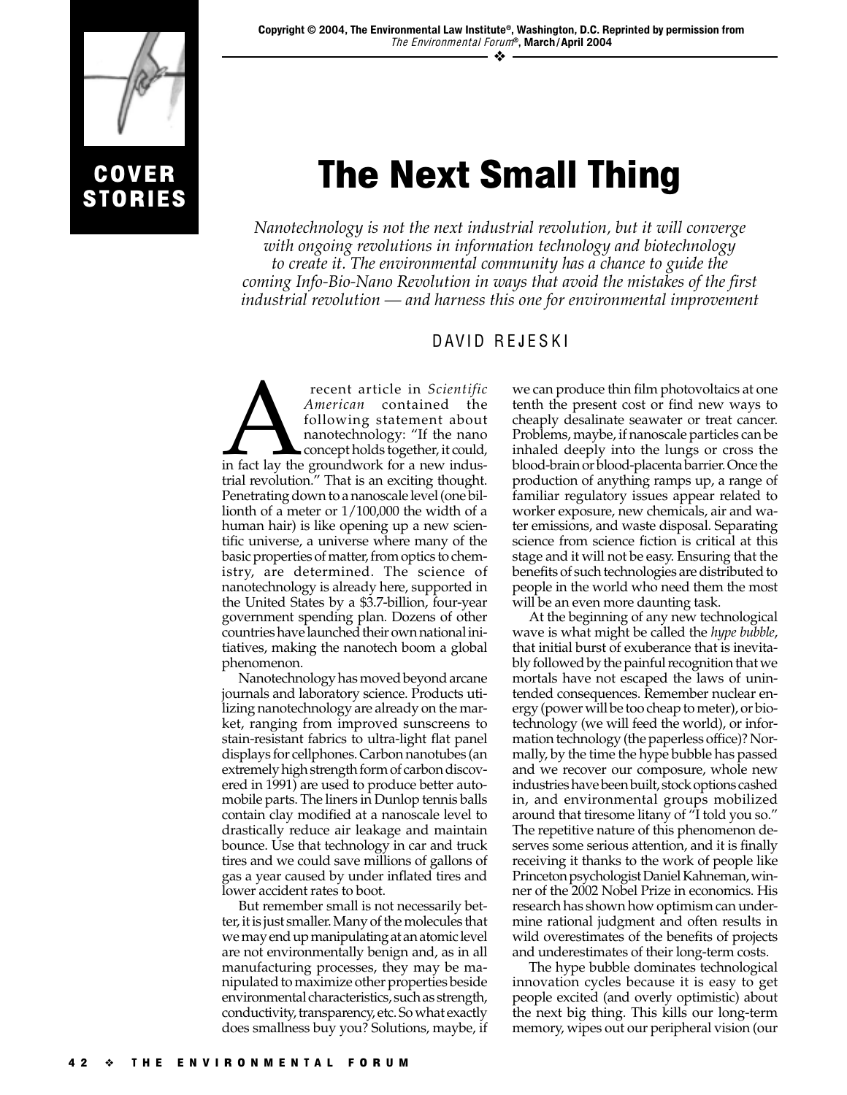

**STORIES** 

## The Next Small Thing

*Nanotechnology is not the next industrial revolution, but it will converge with ongoing revolutions in information technology and biotechnology to create it. The environmental community has a chance to guide the coming Info-Bio-Nano Revolution in ways that avoid the mistakes of the first industrial revolution — and harness this one for environmental improvement*

## DAVID REJESKI

Francent article in *Scientific*<br>
American contained the<br>
following statement about<br>
nanotechnology: "If the nano<br>
concept holds together, it could,<br>
in fact lay the groundwork for a new indus-*American* contained the following statement about nanotechnology: "If the nano concept holds together, it could, trial revolution." That is an exciting thought. Penetrating down to a nanoscale level (one billionth of a meter or 1/100,000 the width of a human hair) is like opening up a new scientific universe, a universe where many of the basic properties of matter, from optics to chemistry, are determined. The science of nanotechnology is already here, supported in the United States by a \$3.7-billion, four-year government spending plan. Dozens of other countries have launched their own national initiatives, making the nanotech boom a global phenomenon.

Nanotechnology has moved beyond arcane journals and laboratory science. Products utilizing nanotechnology are already on the market, ranging from improved sunscreens to stain-resistant fabrics to ultra-light flat panel displays for cellphones. Carbon nanotubes (an extremely high strength form of carbon discovered in 1991) are used to produce better automobile parts. The liners in Dunlop tennis balls contain clay modified at a nanoscale level to drastically reduce air leakage and maintain bounce. Use that technology in car and truck tires and we could save millions of gallons of gas a year caused by under inflated tires and lower accident rates to boot.

But remember small is not necessarily better, it is just smaller. Many of the molecules that we may end up manipulating at an atomic level are not environmentally benign and, as in all manufacturing processes, they may be manipulated to maximize other properties beside environmental characteristics, such as strength, conductivity, transparency, etc. So what exactly does smallness buy you? Solutions, maybe, if

we can produce thin film photovoltaics at one tenth the present cost or find new ways to cheaply desalinate seawater or treat cancer. Problems, maybe, if nanoscale particles can be inhaled deeply into the lungs or cross the blood-brain or blood-placenta barrier. Once the production of anything ramps up, a range of familiar regulatory issues appear related to worker exposure, new chemicals, air and water emissions, and waste disposal. Separating science from science fiction is critical at this stage and it will not be easy. Ensuring that the benefits of such technologies are distributed to people in the world who need them the most will be an even more daunting task.

At the beginning of any new technological wave is what might be called the *hype bubble*, that initial burst of exuberance that is inevitably followed by the painful recognition that we mortals have not escaped the laws of unintended consequences. Remember nuclear energy (power will be too cheap to meter), or biotechnology (we will feed the world), or information technology (the paperless office)? Normally, by the time the hype bubble has passed and we recover our composure, whole new industries have been built, stock options cashed in, and environmental groups mobilized around that tiresome litany of "I told you so." The repetitive nature of this phenomenon deserves some serious attention, and it is finally receiving it thanks to the work of people like Princeton psychologist Daniel Kahneman, winner of the 2002 Nobel Prize in economics. His research has shown how optimism can undermine rational judgment and often results in wild overestimates of the benefits of projects and underestimates of their long-term costs.

The hype bubble dominates technological innovation cycles because it is easy to get people excited (and overly optimistic) about the next big thing. This kills our long-term memory, wipes out our peripheral vision (our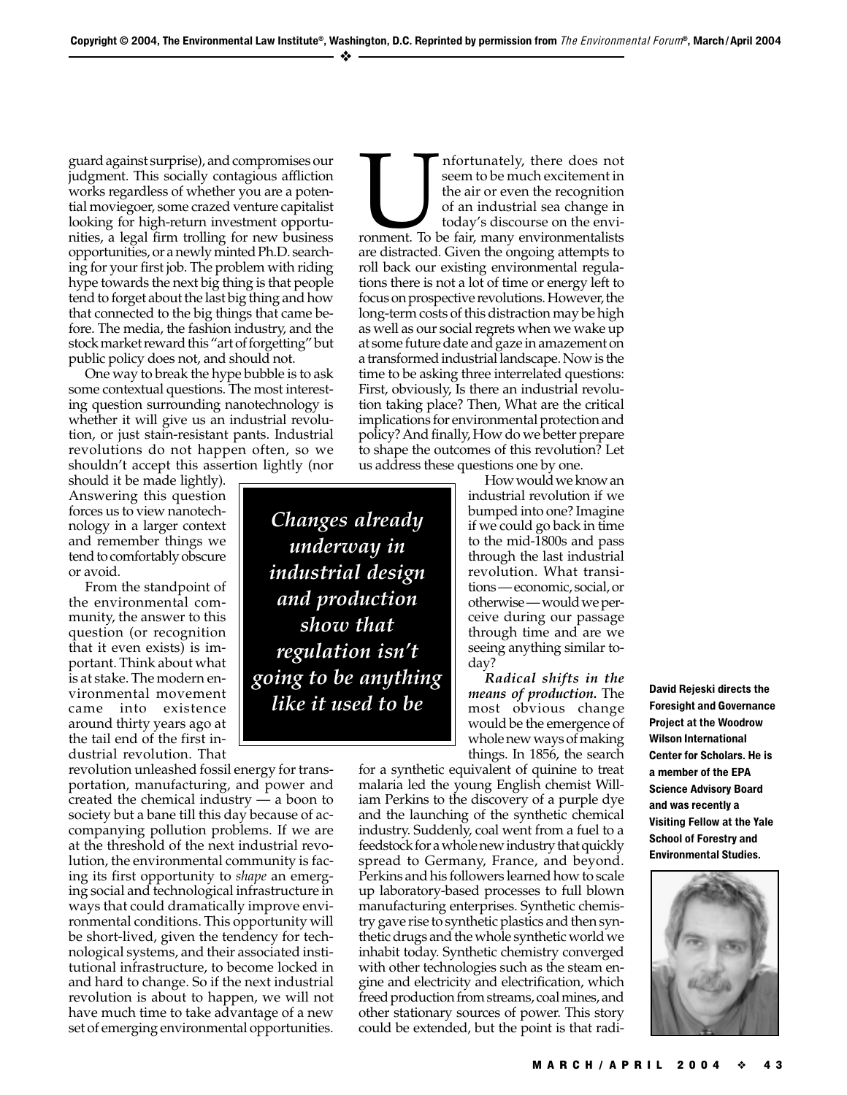guard against surprise), and compromises our judgment. This socially contagious affliction works regardless of whether you are a potential moviegoer, some crazed venture capitalist looking for high-return investment opportunities, a legal firm trolling for new business opportunities, or a newly minted Ph.D. searching for your first job. The problem with riding hype towards the next big thing is that people tend to forget about the last big thing and how that connected to the big things that came before. The media, the fashion industry, and the stock market reward this "art of forgetting" but public policy does not, and should not.

One way to break the hype bubble is to ask some contextual questions. The most interesting question surrounding nanotechnology is whether it will give us an industrial revolution, or just stain-resistant pants. Industrial revolutions do not happen often, so we shouldn't accept this assertion lightly (nor

should it be made lightly). Answering this question forces us to view nanotechnology in a larger context and remember things we tend to comfortably obscure or avoid.

From the standpoint of the environmental community, the answer to this question (or recognition that it even exists) is important. Think about what is at stake. The modern environmental movement came into existence around thirty years ago at the tail end of the first industrial revolution. That

revolution unleashed fossil energy for transportation, manufacturing, and power and created the chemical industry — a boon to society but a bane till this day because of accompanying pollution problems. If we are at the threshold of the next industrial revolution, the environmental community is facing its first opportunity to *shape* an emerging social and technological infrastructure in ways that could dramatically improve environmental conditions. This opportunity will be short-lived, given the tendency for technological systems, and their associated institutional infrastructure, to become locked in and hard to change. So if the next industrial revolution is about to happen, we will not have much time to take advantage of a new set of emerging environmental opportunities.

Infortunately, there does not<br>seem to be much excitement in<br>the air or even the recognition<br>of an industrial sea change in<br>today's discourse on the environmentalists<br>and the fair, many environmentalists seem to be much excitement in the air or even the recognition of an industrial sea change in today's discourse on the enviare distracted. Given the ongoing attempts to roll back our existing environmental regulations there is not a lot of time or energy left to focus on prospective revolutions. However, the long-term costs of this distraction may be high as well as our social regrets when we wake up at some future date and gaze in amazement on a transformed industrial landscape. Now is the time to be asking three interrelated questions: First, obviously, Is there an industrial revolution taking place? Then, What are the critical implications for environmental protection and policy? And finally, How do we better prepare to shape the outcomes of this revolution? Let us address these questions one by one.

*Changes already underway in industrial design and production show that regulation isn't going to be anything like it used to be*

How would we know an industrial revolution if we bumped into one? Imagine if we could go back in time to the mid-1800s and pass through the last industrial revolution. What transitions — economic, social, or otherwise — would we perceive during our passage through time and are we seeing anything similar today?

*Radical shifts in the means of production.* The most obvious change would be the emergence of whole new ways of making things. In 1856, the search

for a synthetic equivalent of quinine to treat malaria led the young English chemist William Perkins to the discovery of a purple dye and the launching of the synthetic chemical industry. Suddenly, coal went from a fuel to a feedstock for a whole new industry that quickly spread to Germany, France, and beyond. Perkins and his followers learned how to scale up laboratory-based processes to full blown manufacturing enterprises. Synthetic chemistry gave rise to synthetic plastics and then synthetic drugs and the whole synthetic world we inhabit today. Synthetic chemistry converged with other technologies such as the steam engine and electricity and electrification, which freed production from streams, coal mines, and other stationary sources of power. This story could be extended, but the point is that radiDavid Rejeski directs the Foresight and Governance Project at the Woodrow Wilson International Center for Scholars. He is a member of the EPA Science Advisory Board and was recently a Visiting Fellow at the Yale School of Forestry and Environmental Studies.

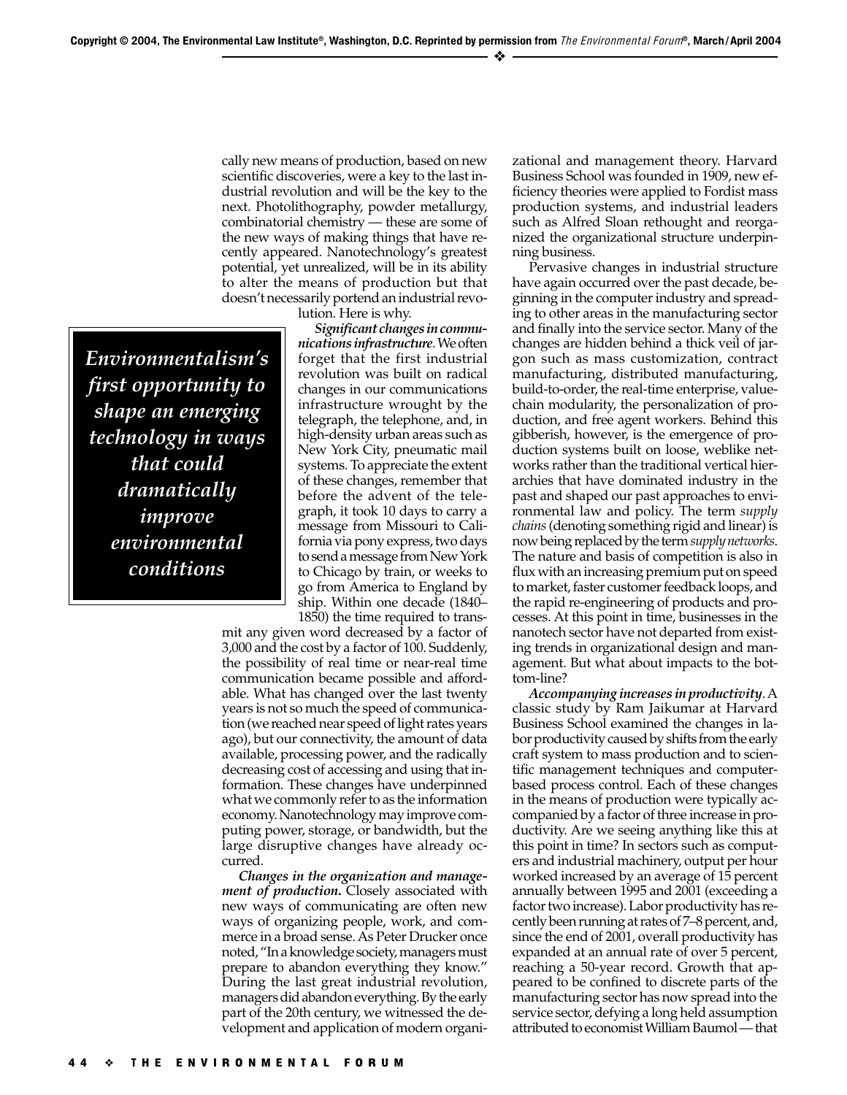cally new means of production, based on new scientific discoveries, were a key to the last industrial revolution and will be the key to the next. Photolithography, powder metallurgy, combinatorial chemistry — these are some of the new ways of making things that have recently appeared. Nanotechnology's greatest potential, yet unrealized, will be in its ability to alter the means of production but that doesn't necessarily portend an industrial revo-

lution. Here is why.

*Environmentalism's first opportunity to shape an emerging technology in ways that could dramatically improve environmental conditions*

*Significant changes in communications infrastructure*. We often forget that the first industrial revolution was built on radical changes in our communications infrastructure wrought by the telegraph, the telephone, and, in high-density urban areas such as New York City, pneumatic mail systems. To appreciate the extent of these changes, remember that before the advent of the telegraph, it took 10 days to carry a message from Missouri to California via pony express, two days to send a message from New York to Chicago by train, or weeks to go from America to England by ship. Within one decade (1840– 1850) the time required to trans-

mit any given word decreased by a factor of 3,000 and the cost by a factor of 100. Suddenly, the possibility of real time or near-real time communication became possible and affordable. What has changed over the last twenty years is not so much the speed of communication (we reached near speed of light rates years ago), but our connectivity, the amount of data available, processing power, and the radically decreasing cost of accessing and using that information. These changes have underpinned what we commonly refer to as the information economy. Nanotechnology may improve computing power, storage, or bandwidth, but the large disruptive changes have already occurred.

*Changes in the organization and management of production***.** Closely associated with new ways of communicating are often new ways of organizing people, work, and commerce in a broad sense. As Peter Drucker once noted, "In a knowledge society, managers must prepare to abandon everything they know." During the last great industrial revolution, managers did abandon everything. By the early part of the 20th century, we witnessed the development and application of modern organi-

zational and management theory. Harvard Business School was founded in 1909, new efficiency theories were applied to Fordist mass production systems, and industrial leaders such as Alfred Sloan rethought and reorganized the organizational structure underpinning business.

Pervasive changes in industrial structure have again occurred over the past decade, beginning in the computer industry and spreading to other areas in the manufacturing sector and finally into the service sector. Many of the changes are hidden behind a thick veil of jargon such as mass customization, contract manufacturing, distributed manufacturing, build-to-order, the real-time enterprise, valuechain modularity, the personalization of production, and free agent workers. Behind this gibberish, however, is the emergence of production systems built on loose, weblike networks rather than the traditional vertical hierarchies that have dominated industry in the past and shaped our past approaches to environmental law and policy. The term *supply chains* (denoting something rigid and linear) is now being replaced by the term *supply networks*. The nature and basis of competition is also in flux with an increasing premium put on speed to market, faster customer feedback loops, and the rapid re-engineering of products and processes. At this point in time, businesses in the nanotech sector have not departed from existing trends in organizational design and management. But what about impacts to the bottom-line?

*Accompanying increases in productivity*. A classic study by Ram Jaikumar at Harvard Business School examined the changes in labor productivity caused by shifts from the early craft system to mass production and to scientific management techniques and computerbased process control. Each of these changes in the means of production were typically accompanied by a factor of three increase in productivity. Are we seeing anything like this at this point in time? In sectors such as computers and industrial machinery, output per hour worked increased by an average of 15 percent annually between 1995 and 2001 (exceeding a factor two increase). Labor productivity has recently been running at rates of 7–8 percent, and, since the end of 2001, overall productivity has expanded at an annual rate of over 5 percent, reaching a 50-year record. Growth that appeared to be confined to discrete parts of the manufacturing sector has now spread into the service sector, defying a long held assumption attributed to economist William Baumol — that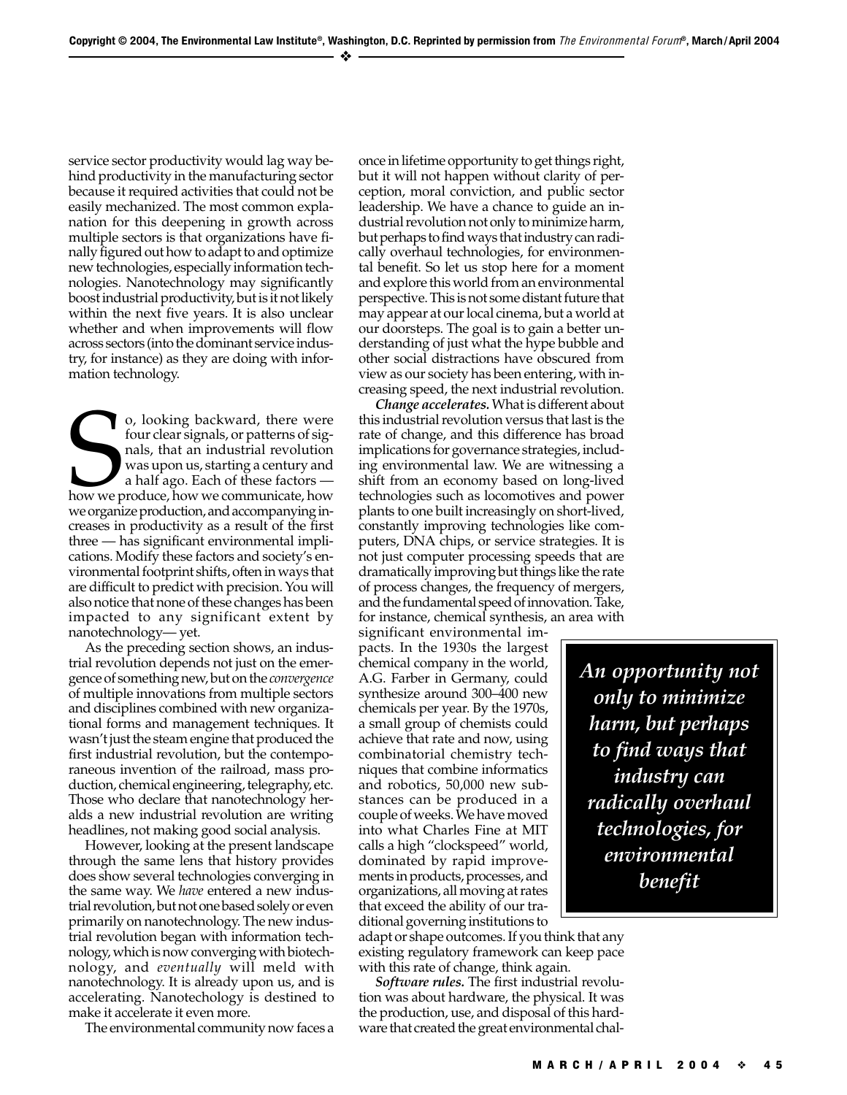service sector productivity would lag way behind productivity in the manufacturing sector because it required activities that could not be easily mechanized. The most common explanation for this deepening in growth across multiple sectors is that organizations have finally figured out how to adapt to and optimize new technologies, especially information technologies. Nanotechnology may significantly boost industrial productivity, but is it not likely within the next five years. It is also unclear whether and when improvements will flow across sectors (into the dominant service industry, for instance) as they are doing with information technology.

o, looking backward, there were<br>four clear signals, or patterns of signals, that an industrial revolution<br>was upon us, starting a century and<br>a half ago. Each of these factors —<br>how we produce, how we communicate, how o, looking backward, there were four clear signals, or patterns of signals, that an industrial revolution was upon us, starting a century and a half ago. Each of these factors we organize production, and accompanying increases in productivity as a result of the first three — has significant environmental implications. Modify these factors and society's environmental footprint shifts, often in ways that are difficult to predict with precision. You will also notice that none of these changes has been impacted to any significant extent by nanotechnology— yet.

As the preceding section shows, an industrial revolution depends not just on the emergence of something new, but on the *convergence* of multiple innovations from multiple sectors and disciplines combined with new organizational forms and management techniques. It wasn't just the steam engine that produced the first industrial revolution, but the contemporaneous invention of the railroad, mass production, chemical engineering, telegraphy, etc. Those who declare that nanotechnology heralds a new industrial revolution are writing headlines, not making good social analysis.

However, looking at the present landscape through the same lens that history provides does show several technologies converging in the same way. We *have* entered a new industrial revolution, but not one based solely or even primarily on nanotechnology. The new industrial revolution began with information technology, which is now converging with biotechnology, and *eventually* will meld with nanotechnology. It is already upon us, and is accelerating. Nanotechology is destined to make it accelerate it even more.

The environmental community now faces a

once in lifetime opportunity to get things right, but it will not happen without clarity of perception, moral conviction, and public sector leadership. We have a chance to guide an industrial revolution not only to minimize harm, but perhaps to find ways that industry can radically overhaul technologies, for environmental benefit. So let us stop here for a moment and explore this world from an environmental perspective. This is not some distant future that may appear at our local cinema, but a world at our doorsteps. The goal is to gain a better understanding of just what the hype bubble and other social distractions have obscured from view as our society has been entering, with increasing speed, the next industrial revolution.

*Change accelerates.* What is different about this industrial revolution versus that last is the rate of change, and this difference has broad implications for governance strategies, including environmental law. We are witnessing a shift from an economy based on long-lived technologies such as locomotives and power plants to one built increasingly on short-lived, constantly improving technologies like computers, DNA chips, or service strategies. It is not just computer processing speeds that are dramatically improving but things like the rate of process changes, the frequency of mergers, and the fundamental speed of innovation. Take, for instance, chemical synthesis, an area with

significant environmental impacts. In the 1930s the largest chemical company in the world, A.G. Farber in Germany, could synthesize around 300–400 new chemicals per year. By the 1970s, a small group of chemists could achieve that rate and now, using combinatorial chemistry techniques that combine informatics and robotics, 50,000 new substances can be produced in a couple of weeks. We have moved into what Charles Fine at MIT calls a high "clockspeed" world, dominated by rapid improvements in products, processes, and organizations, all moving at rates that exceed the ability of our traditional governing institutions to

adapt or shape outcomes. If you think that any existing regulatory framework can keep pace with this rate of change, think again.

*Software rules.* The first industrial revolution was about hardware, the physical. It was the production, use, and disposal of this hardware that created the great environmental chal-

*An opportunity not only to minimize harm, but perhaps to find ways that industry can radically overhaul technologies, for environmental benefit*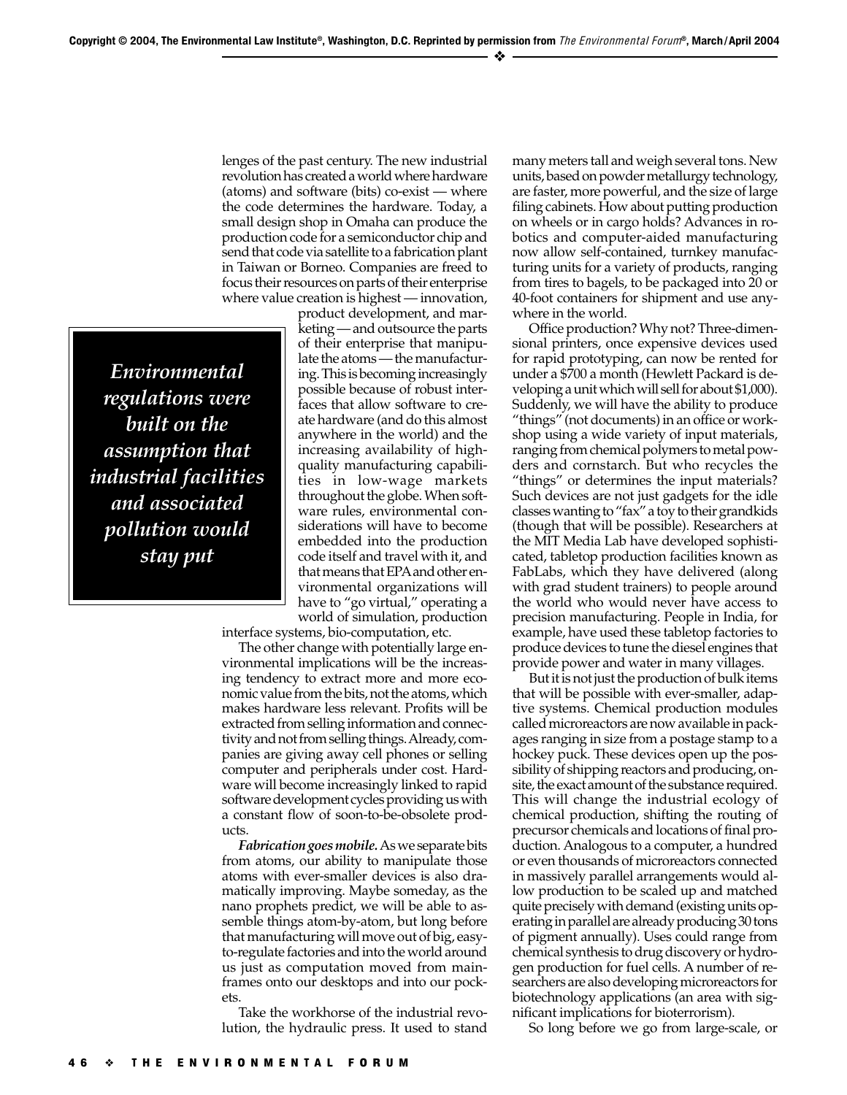lenges of the past century. The new industrial revolution has created a world where hardware (atoms) and software (bits) co-exist — where the code determines the hardware. Today, a small design shop in Omaha can produce the production code for a semiconductor chip and send that code via satellite to a fabrication plant in Taiwan or Borneo. Companies are freed to focus their resources on parts of their enterprise where value creation is highest — innovation,

*Environmental regulations were built on the assumption that industrial facilities and associated pollution would stay put*

product development, and marketing — and outsource the parts of their enterprise that manipulate the atoms — the manufacturing. This is becoming increasingly possible because of robust interfaces that allow software to create hardware (and do this almost anywhere in the world) and the increasing availability of highquality manufacturing capabilities in low-wage markets throughout the globe. When software rules, environmental considerations will have to become embedded into the production code itself and travel with it, and that means that EPA and other environmental organizations will have to "go virtual," operating a world of simulation, production

interface systems, bio-computation, etc.

The other change with potentially large environmental implications will be the increasing tendency to extract more and more economic value from the bits, not the atoms, which makes hardware less relevant. Profits will be extracted from selling information and connectivity and not from selling things. Already, companies are giving away cell phones or selling computer and peripherals under cost. Hardware will become increasingly linked to rapid software development cycles providing us with a constant flow of soon-to-be-obsolete products.

*Fabrication goes mobile.*As we separate bits from atoms, our ability to manipulate those atoms with ever-smaller devices is also dramatically improving. Maybe someday, as the nano prophets predict, we will be able to assemble things atom-by-atom, but long before that manufacturing will move out of big, easyto-regulate factories and into the world around us just as computation moved from mainframes onto our desktops and into our pockets.

Take the workhorse of the industrial revolution, the hydraulic press. It used to stand

many meters tall and weigh several tons. New units, based on powder metallurgy technology, are faster, more powerful, and the size of large filing cabinets. How about putting production on wheels or in cargo holds? Advances in robotics and computer-aided manufacturing now allow self-contained, turnkey manufacturing units for a variety of products, ranging from tires to bagels, to be packaged into 20 or 40-foot containers for shipment and use anywhere in the world.

Office production? Why not? Three-dimensional printers, once expensive devices used for rapid prototyping, can now be rented for under a \$700 a month (Hewlett Packard is developing a unit which will sell for about \$1,000). Suddenly, we will have the ability to produce "things" (not documents) in an office or workshop using a wide variety of input materials, ranging from chemical polymers to metal powders and cornstarch. But who recycles the "things" or determines the input materials? Such devices are not just gadgets for the idle classes wanting to "fax" a toy to their grandkids (though that will be possible). Researchers at the MIT Media Lab have developed sophisticated, tabletop production facilities known as FabLabs, which they have delivered (along with grad student trainers) to people around the world who would never have access to precision manufacturing. People in India, for example, have used these tabletop factories to produce devices to tune the diesel engines that provide power and water in many villages.

But it is not just the production of bulk items that will be possible with ever-smaller, adaptive systems. Chemical production modules called microreactors are now available in packages ranging in size from a postage stamp to a hockey puck. These devices open up the possibility of shipping reactors and producing, onsite, the exact amount of the substance required. This will change the industrial ecology of chemical production, shifting the routing of precursor chemicals and locations of final production. Analogous to a computer, a hundred or even thousands of microreactors connected in massively parallel arrangements would allow production to be scaled up and matched quite precisely with demand (existing units operating in parallel are already producing 30 tons of pigment annually). Uses could range from chemical synthesis to drug discovery or hydrogen production for fuel cells. A number of researchers are also developing microreactors for biotechnology applications (an area with significant implications for bioterrorism).

So long before we go from large-scale, or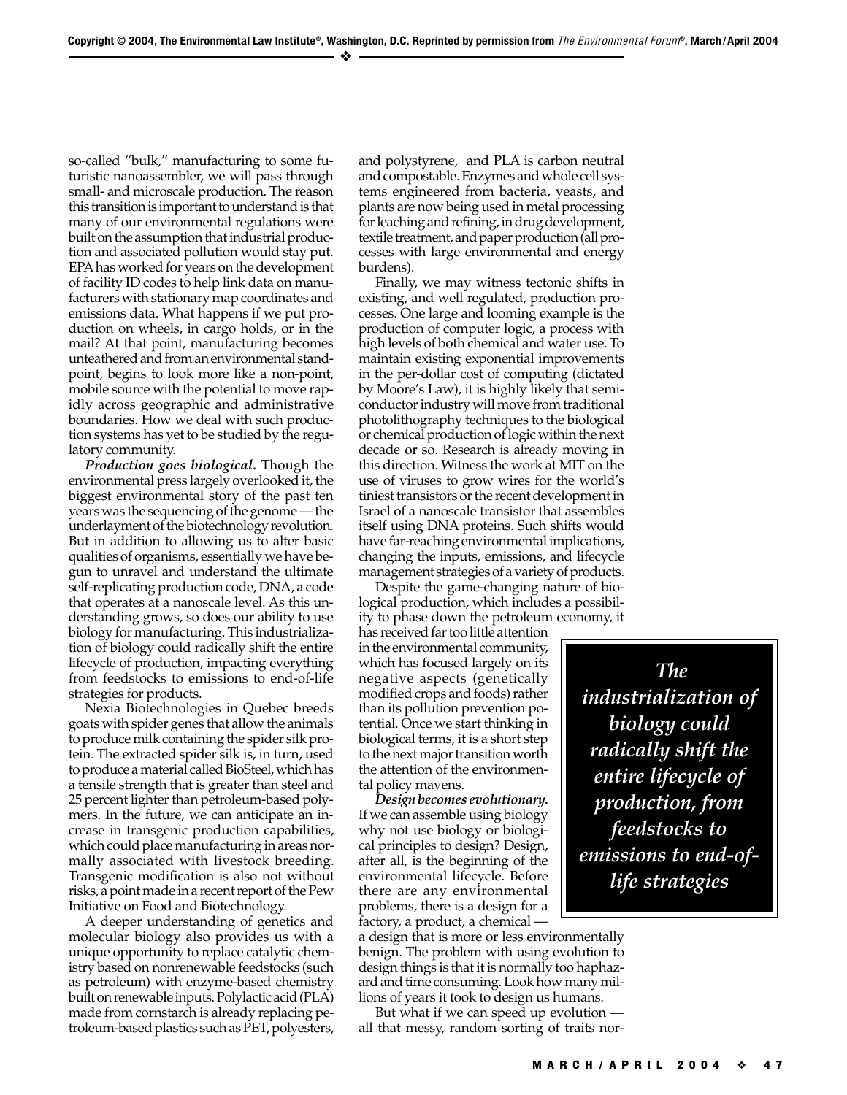so-called "bulk," manufacturing to some futuristic nanoassembler, we will pass through small- and microscale production. The reason this transition is important to understand is that many of our environmental regulations were built on the assumption that industrial production and associated pollution would stay put. EPA has worked for years on the development of facility ID codes to help link data on manufacturers with stationary map coordinates and emissions data. What happens if we put production on wheels, in cargo holds, or in the mail? At that point, manufacturing becomes unteathered and from an environmental standpoint, begins to look more like a non-point, mobile source with the potential to move rapidly across geographic and administrative boundaries. How we deal with such production systems has yet to be studied by the regulatory community.

*Production goes biological.* Though the environmental press largely overlooked it, the biggest environmental story of the past ten years was the sequencing of the genome — the underlayment of the biotechnology revolution. But in addition to allowing us to alter basic qualities of organisms, essentially we have begun to unravel and understand the ultimate self-replicating production code, DNA, a code that operates at a nanoscale level. As this understanding grows, so does our ability to use biology for manufacturing. This industrialization of biology could radically shift the entire lifecycle of production, impacting everything from feedstocks to emissions to end-of-life strategies for products.

Nexia Biotechnologies in Quebec breeds goats with spider genes that allow the animals to produce milk containing the spider silk protein. The extracted spider silk is, in turn, used to produce a material called BioSteel, which has a tensile strength that is greater than steel and 25 percent lighter than petroleum-based polymers. In the future, we can anticipate an increase in transgenic production capabilities, which could place manufacturing in areas normally associated with livestock breeding. Transgenic modification is also not without risks, a point made in a recent report of the Pew Initiative on Food and Biotechnology.

A deeper understanding of genetics and molecular biology also provides us with a unique opportunity to replace catalytic chemistry based on nonrenewable feedstocks (such as petroleum) with enzyme-based chemistry built on renewable inputs. Polylactic acid (PLA) made from cornstarch is already replacing petroleum-based plastics such as PET, polyesters,

and polystyrene, and PLA is carbon neutral and compostable. Enzymes and whole cell systems engineered from bacteria, yeasts, and plants are now being used in metal processing for leaching and refining, in drug development, textile treatment, and paper production (all processes with large environmental and energy burdens).

Finally, we may witness tectonic shifts in existing, and well regulated, production processes. One large and looming example is the production of computer logic, a process with high levels of both chemical and water use. To maintain existing exponential improvements in the per-dollar cost of computing (dictated by Moore's Law), it is highly likely that semiconductor industry will move from traditional photolithography techniques to the biological or chemical production of logic within the next decade or so. Research is already moving in this direction. Witness the work at MIT on the use of viruses to grow wires for the world's tiniest transistors or the recent development in Israel of a nanoscale transistor that assembles itself using DNA proteins. Such shifts would have far-reaching environmental implications, changing the inputs, emissions, and lifecycle management strategies of a variety of products.

Despite the game-changing nature of biological production, which includes a possibility to phase down the petroleum economy, it

has received far too little attention in the environmental community, which has focused largely on its negative aspects (genetically modified crops and foods) rather than its pollution prevention potential. Once we start thinking in biological terms, it is a short step to the next major transition worth the attention of the environmental policy mavens.

*Design becomes evolutionary.* If we can assemble using biology why not use biology or biological principles to design? Design, after all, is the beginning of the environmental lifecycle. Before there are any environmental problems, there is a design for a factory, a product, a chemical —

a design that is more or less environmentally benign. The problem with using evolution to design things is that it is normally too haphazard and time consuming. Look how many millions of years it took to design us humans.

But what if we can speed up evolution all that messy, random sorting of traits nor-

 *The industrialization of biology could radically shift the entire lifecycle of production, from feedstocks to emissions to end-oflife strategies*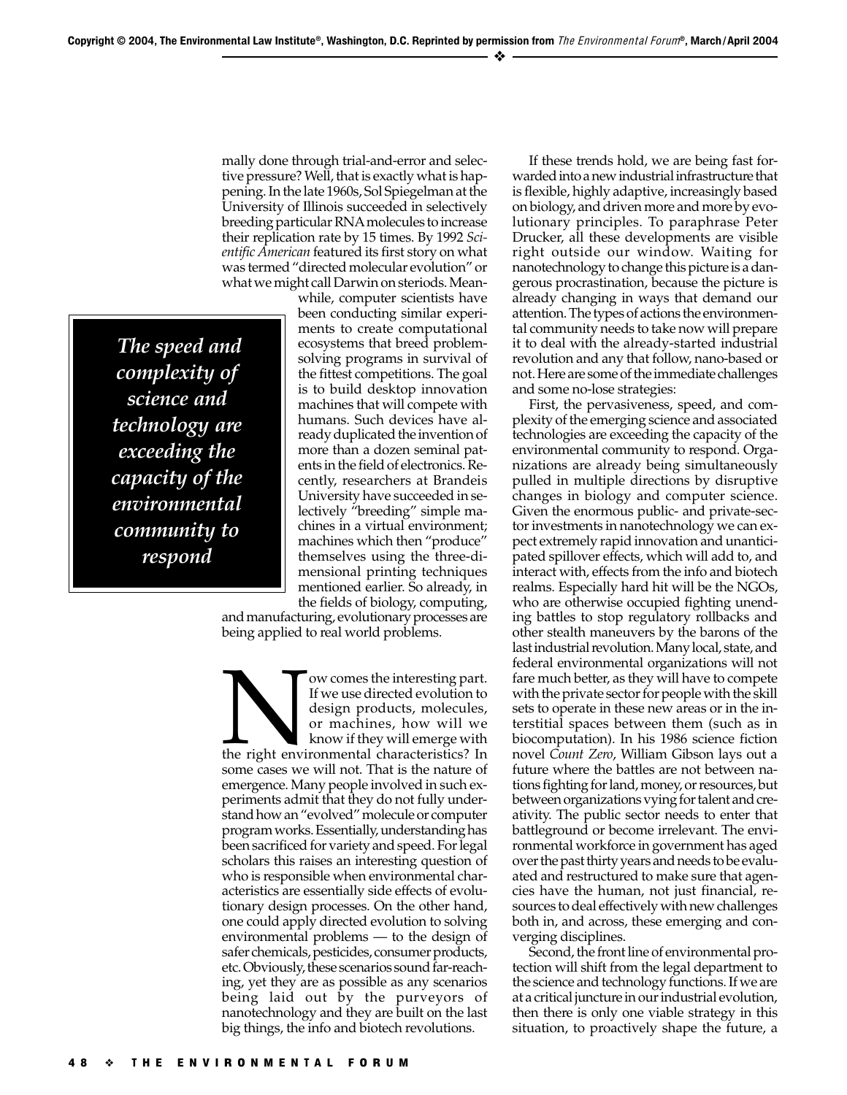mally done through trial-and-error and selective pressure? Well, that is exactly what is happening. In the late 1960s, Sol Spiegelman at the University of Illinois succeeded in selectively breeding particular RNA molecules to increase their replication rate by 15 times. By 1992 *Scientific American* featured its first story on what was termed "directed molecular evolution" or what we might call Darwin on steriods. Mean-

 *The speed and complexity of science and technology are exceeding the capacity of the environmental community to respond*

while, computer scientists have been conducting similar experiments to create computational ecosystems that breed problemsolving programs in survival of the fittest competitions. The goal is to build desktop innovation machines that will compete with humans. Such devices have already duplicated the invention of more than a dozen seminal patents in the field of electronics. Recently, researchers at Brandeis University have succeeded in selectively "breeding" simple machines in a virtual environment; machines which then "produce" themselves using the three-dimensional printing techniques mentioned earlier. So already, in the fields of biology, computing,

and manufacturing, evolutionary processes are being applied to real world problems.

Now comes the interesting part.<br>
If we use directed evolution to<br>
design products, molecules,<br>
or machines, how will we<br>
know if they will emerge with<br>
the right environmental characteristics? In If we use directed evolution to design products, molecules, or machines, how will we know if they will emerge with some cases we will not. That is the nature of emergence. Many people involved in such experiments admit that they do not fully understand how an "evolved" molecule or computer program works. Essentially, understanding has been sacrificed for variety and speed. For legal scholars this raises an interesting question of who is responsible when environmental characteristics are essentially side effects of evolutionary design processes. On the other hand, one could apply directed evolution to solving environmental problems — to the design of safer chemicals, pesticides, consumer products, etc. Obviously, these scenarios sound far-reaching, yet they are as possible as any scenarios being laid out by the purveyors of nanotechnology and they are built on the last big things, the info and biotech revolutions.

If these trends hold, we are being fast forwarded into a new industrial infrastructure that is flexible, highly adaptive, increasingly based on biology, and driven more and more by evolutionary principles. To paraphrase Peter Drucker, all these developments are visible right outside our window. Waiting for nanotechnology to change this picture is a dangerous procrastination, because the picture is already changing in ways that demand our attention. The types of actions the environmental community needs to take now will prepare it to deal with the already-started industrial revolution and any that follow, nano-based or not. Here are some of the immediate challenges and some no-lose strategies:

First, the pervasiveness, speed, and complexity of the emerging science and associated technologies are exceeding the capacity of the environmental community to respond. Organizations are already being simultaneously pulled in multiple directions by disruptive changes in biology and computer science. Given the enormous public- and private-sector investments in nanotechnology we can expect extremely rapid innovation and unanticipated spillover effects, which will add to, and interact with, effects from the info and biotech realms. Especially hard hit will be the NGOs, who are otherwise occupied fighting unending battles to stop regulatory rollbacks and other stealth maneuvers by the barons of the last industrial revolution. Many local, state, and federal environmental organizations will not fare much better, as they will have to compete with the private sector for people with the skill sets to operate in these new areas or in the interstitial spaces between them (such as in biocomputation). In his 1986 science fiction novel *Count Zero*, William Gibson lays out a future where the battles are not between nations fighting for land, money, or resources, but between organizations vying for talent and creativity. The public sector needs to enter that battleground or become irrelevant. The environmental workforce in government has aged over the past thirty years and needs to be evaluated and restructured to make sure that agencies have the human, not just financial, resources to deal effectively with new challenges both in, and across, these emerging and converging disciplines.

Second, the front line of environmental protection will shift from the legal department to the science and technology functions. If we are at a critical juncture in our industrial evolution, then there is only one viable strategy in this situation, to proactively shape the future, a